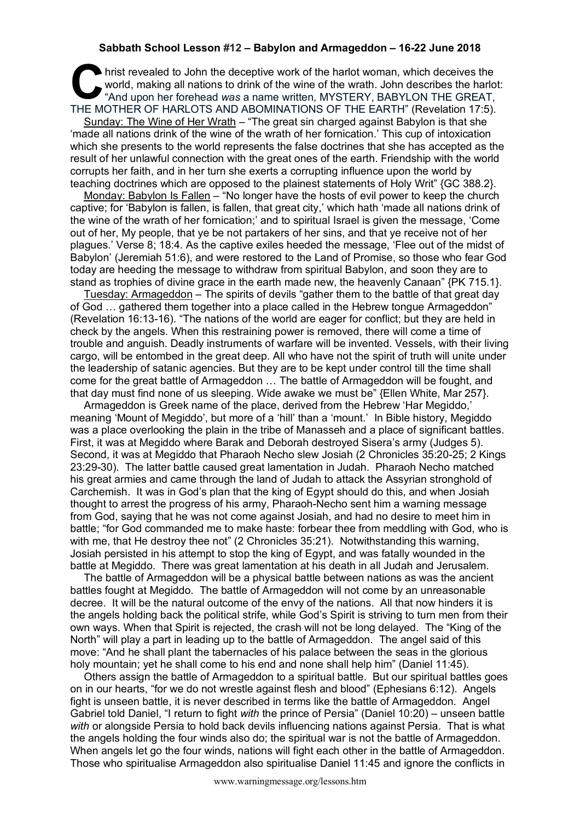## **Sabbath School Lesson #12 – Babylon and Armageddon – 16-22 June 2018**

hrist revealed to John the deceptive work of the harlot woman, which deceives the world, making all nations to drink of the wine of the wrath. John describes the harlot "And upon her forehead was a name written, MYSTERY, B world, making all nations to drink of the wine of the wrath. John describes the harlot: "And upon her forehead *was* a name written, MYSTERY, BABYLON THE GREAT, THE MOTHER OF HARLOTS AND ABOMINATIONS OF THE EARTH" (Revelation 17:5).

Sunday: The Wine of Her Wrath - "The great sin charged against Babylon is that she 'made all nations drink of the wine of the wrath of her fornication.' This cup of intoxication which she presents to the world represents the false doctrines that she has accepted as the result of her unlawful connection with the great ones of the earth. Friendship with the world corrupts her faith, and in her turn she exerts a corrupting influence upon the world by teaching doctrines which are opposed to the plainest statements of Holy Writ" {GC 388.2}.

Monday: Babylon Is Fallen – "No longer have the hosts of evil power to keep the church captive; for 'Babylon is fallen, is fallen, that great city,' which hath 'made all nations drink of the wine of the wrath of her fornication;' and to spiritual Israel is given the message, 'Come out of her, My people, that ye be not partakers of her sins, and that ye receive not of her plagues.' Verse 8; 18:4. As the captive exiles heeded the message, 'Flee out of the midst of Babylon' (Jeremiah 51:6), and were restored to the Land of Promise, so those who fear God today are heeding the message to withdraw from spiritual Babylon, and soon they are to stand as trophies of divine grace in the earth made new, the heavenly Canaan" {PK 715.1}.

Tuesday: Armageddon – The spirits of devils "gather them to the battle of that great day of God … gathered them together into a place called in the Hebrew tongue Armageddon" (Revelation 16:13-16). "The nations of the world are eager for conflict; but they are held in check by the angels. When this restraining power is removed, there will come a time of trouble and anguish. Deadly instruments of warfare will be invented. Vessels, with their living cargo, will be entombed in the great deep. All who have not the spirit of truth will unite under the leadership of satanic agencies. But they are to be kept under control till the time shall come for the great battle of Armageddon … The battle of Armageddon will be fought, and that day must find none of us sleeping. Wide awake we must be" {Ellen White, Mar 257}.

Armageddon is Greek name of the place, derived from the Hebrew 'Har Megiddo,' meaning 'Mount of Megiddo', but more of a 'hill' than a 'mount.' In Bible history, Megiddo was a place overlooking the plain in the tribe of Manasseh and a place of significant battles. First, it was at Megiddo where Barak and Deborah destroyed Sisera's army (Judges 5). Second, it was at Megiddo that Pharaoh Necho slew Josiah (2 Chronicles 35:20-25; 2 Kings 23:29-30). The latter battle caused great lamentation in Judah. Pharaoh Necho matched his great armies and came through the land of Judah to attack the Assyrian stronghold of Carchemish. It was in God's plan that the king of Egypt should do this, and when Josiah thought to arrest the progress of his army, Pharaoh-Necho sent him a warning message from God, saying that he was not come against Josiah, and had no desire to meet him in battle; "for God commanded me to make haste: forbear thee from meddling with God, who is with me, that He destroy thee not" (2 Chronicles 35:21). Notwithstanding this warning, Josiah persisted in his attempt to stop the king of Egypt, and was fatally wounded in the battle at Megiddo. There was great lamentation at his death in all Judah and Jerusalem.

The battle of Armageddon will be a physical battle between nations as was the ancient battles fought at Megiddo. The battle of Armageddon will not come by an unreasonable decree. It will be the natural outcome of the envy of the nations. All that now hinders it is the angels holding back the political strife, while God's Spirit is striving to turn men from their own ways. When that Spirit is rejected, the crash will not be long delayed. The "King of the North" will play a part in leading up to the battle of Armageddon. The angel said of this move: "And he shall plant the tabernacles of his palace between the seas in the glorious holy mountain; yet he shall come to his end and none shall help him" (Daniel 11:45).

Others assign the battle of Armageddon to a spiritual battle. But our spiritual battles goes on in our hearts, "for we do not wrestle against flesh and blood" (Ephesians 6:12). Angels fight is unseen battle, it is never described in terms like the battle of Armageddon. Angel Gabriel told Daniel, "I return to fight *with* the prince of Persia" (Daniel 10:20) – unseen battle *with* or alongside Persia to hold back devils influencing nations against Persia. That is what the angels holding the four winds also do; the spiritual war is not the battle of Armageddon. When angels let go the four winds, nations will fight each other in the battle of Armageddon. Those who spiritualise Armageddon also spiritualise Daniel 11:45 and ignore the conflicts in